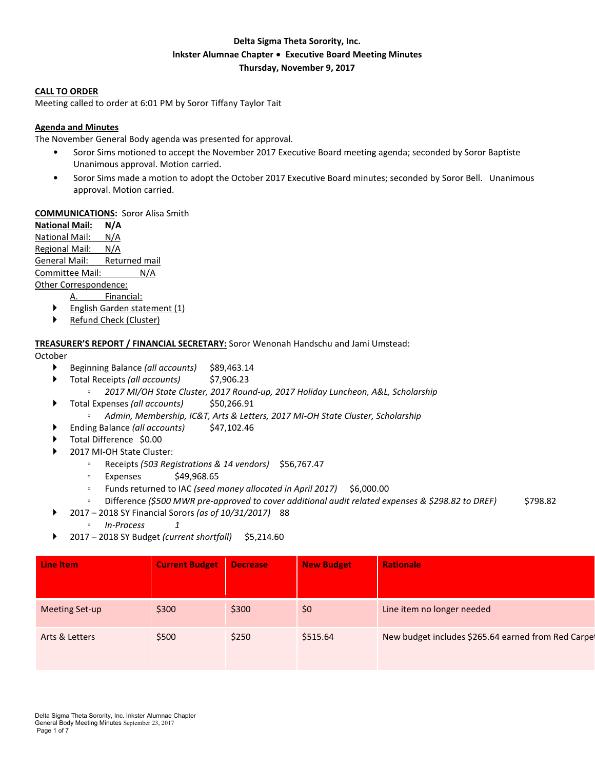# **Delta Sigma Theta Sorority, Inc. Inkster Alumnae Chapter** ∙ **Executive Board Meeting Minutes Thursday, November 9, 2017**

#### **CALL TO ORDER**

Meeting called to order at 6:01 PM by Soror Tiffany Taylor Tait

#### **Agenda and Minutes**

The November General Body agenda was presented for approval.

- Soror Sims motioned to accept the November 2017 Executive Board meeting agenda; seconded by Soror Baptiste Unanimous approval. Motion carried.
- Soror Sims made a motion to adopt the October 2017 Executive Board minutes; seconded by Soror Bell. Unanimous approval. Motion carried.

#### **COMMUNICATIONS:** Soror Alisa Smith

**National Mail: N/A** National Mail: N/A Regional Mail: N/A General Mail: Returned mail Committee Mail: N/A Other Correspondence:

A. Financial:

- **Finglish Garden statement (1)**
- Refund Check (Cluster)

#### **TREASURER'S REPORT / FINANCIAL SECRETARY:** Soror Wenonah Handschu and Jami Umstead:

#### October

- Beginning Balance *(all accounts)* \$89,463.14
- Total Receipts *(all accounts)* \$7,906.23
	- *2017 MI/OH State Cluster, 2017 Round-up, 2017 Holiday Luncheon, A&L, Scholarship*
- ▶ Total Expenses (all *accounts*) \$50,266.91
	- *Admin, Membership, IC&T, Arts & Letters, 2017 MI-OH State Cluster, Scholarship*
- Ending Balance *(all accounts)* \$47,102.46
- Total Difference \$0.00
- 2017 MI-OH State Cluster:
	- Receipts *(503 Registrations & 14 vendors)* \$56,767.47
	- Expenses \$49,968.65
	- Funds returned to IAC *(seed money allocated in April 2017)* \$6,000.00
	- Difference *(\$500 MWR pre-approved to cover additional audit related expenses & \$298.82 to DREF)* \$798.82
	- 2017 2018 SY Financial Sorors *(as of 10/31/2017)* 88
		- *In-Process 1*
- 2017 2018 SY Budget *(current shortfall)* \$5,214.60

| Line Item             | <b>Current Budget</b> | Decrease | <b>New Budget</b> | <b>Rationale</b>                                    |
|-----------------------|-----------------------|----------|-------------------|-----------------------------------------------------|
| <b>Meeting Set-up</b> | \$300                 | \$300    | \$0               | Line item no longer needed                          |
| Arts & Letters        | \$500                 | \$250    | \$515.64          | New budget includes \$265.64 earned from Red Carpet |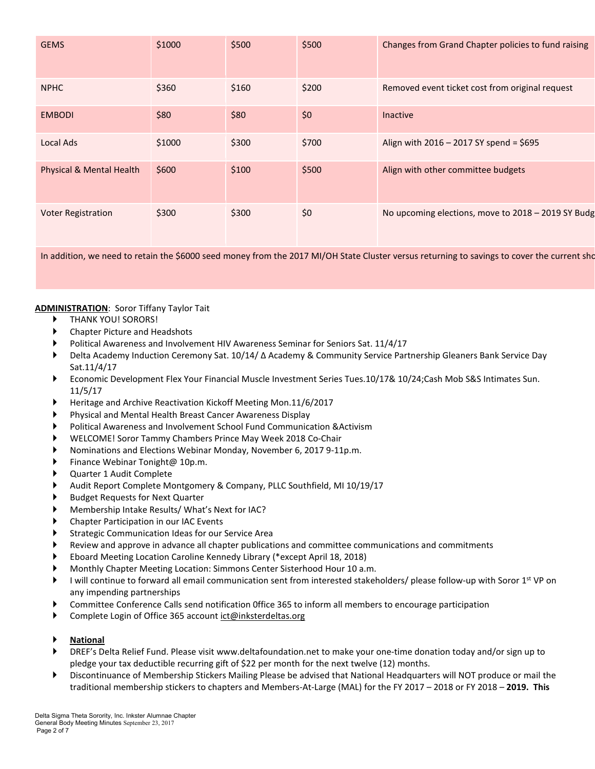| <b>GEMS</b>                         | \$1000 | \$500 | \$500 | Changes from Grand Chapter policies to fund raising |
|-------------------------------------|--------|-------|-------|-----------------------------------------------------|
| <b>NPHC</b>                         | \$360  | \$160 | \$200 | Removed event ticket cost from original request     |
| <b>EMBODI</b>                       | \$80   | \$80  | \$0   | <b>Inactive</b>                                     |
| Local Ads                           | \$1000 | \$300 | \$700 | Align with 2016 - 2017 SY spend = \$695             |
| <b>Physical &amp; Mental Health</b> | \$600  | \$100 | \$500 | Align with other committee budgets                  |
| <b>Voter Registration</b>           | \$300  | \$300 | \$0   | No upcoming elections, move to 2018 - 2019 SY Budg  |

In addition, we need to retain the \$6000 seed money from the 2017 MI/OH State Cluster versus returning to savings to cover the current sho

### **ADMINISTRATION**: Soror Tiffany Taylor Tait

- THANK YOU! SORORS!
- Chapter Picture and Headshots
- Political Awareness and Involvement HIV Awareness Seminar for Seniors Sat. 11/4/17
- Delta Academy Induction Ceremony Sat. 10/14/ Δ Academy & Community Service Partnership Gleaners Bank Service Day Sat.11/4/17
- Economic Development Flex Your Financial Muscle Investment Series Tues.10/17& 10/24;Cash Mob S&S Intimates Sun. 11/5/17
- Heritage and Archive Reactivation Kickoff Meeting Mon.11/6/2017
- Physical and Mental Health Breast Cancer Awareness Display
- Political Awareness and Involvement School Fund Communication &Activism
- WELCOME! Soror Tammy Chambers Prince May Week 2018 Co-Chair
- Nominations and Elections Webinar Monday, November 6, 2017 9-11p.m.
- Finance Webinar Tonight@ 10p.m.
- Quarter 1 Audit Complete
- Audit Report Complete Montgomery & Company, PLLC Southfield, MI 10/19/17
- Budget Requests for Next Quarter
- Membership Intake Results/ What's Next for IAC?
- Chapter Participation in our IAC Events
- Strategic Communication Ideas for our Service Area
- Review and approve in advance all chapter publications and committee communications and commitments
- Eboard Meeting Location Caroline Kennedy Library (\*except April 18, 2018)
- Monthly Chapter Meeting Location: Simmons Center Sisterhood Hour 10 a.m.
- I will continue to forward all email communication sent from interested stakeholders/ please follow-up with Soror 1<sup>st</sup> VP on any impending partnerships
- Committee Conference Calls send notification 0ffice 365 to inform all members to encourage participation
- Complete Login of Office 365 account ict@inksterdeltas.org
- **National**
- DREF's Delta Relief Fund. Please visit www.deltafoundation.net to make your one-time donation today and/or sign up to pledge your tax deductible recurring gift of \$22 per month for the next twelve (12) months.
- Discontinuance of Membership Stickers Mailing Please be advised that National Headquarters will NOT produce or mail the traditional membership stickers to chapters and Members-At-Large (MAL) for the FY 2017 – 2018 or FY 2018 – **2019. This**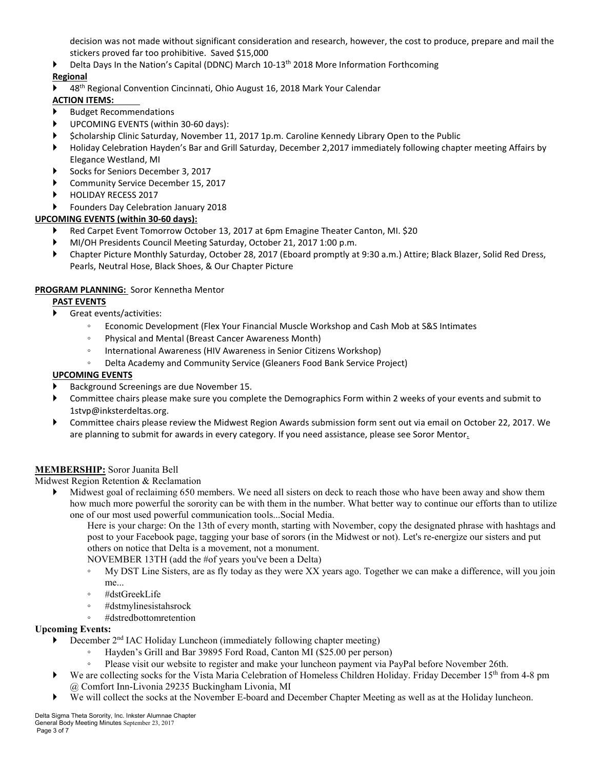decision was not made without significant consideration and research, however, the cost to produce, prepare and mail the stickers proved far too prohibitive. Saved \$15,000

Delta Days In the Nation's Capital (DDNC) March 10-13th 2018 More Information Forthcoming

# **Regional**

▶ 48<sup>th</sup> Regional Convention Cincinnati, Ohio August 16, 2018 Mark Your Calendar

# **ACTION ITEMS:**

- Budget Recommendations
- UPCOMING EVENTS (within 30-60 days):
- \$cholarship Clinic Saturday, November 11, 2017 1p.m. Caroline Kennedy Library Open to the Public
- Holiday Celebration Hayden's Bar and Grill Saturday, December 2,2017 immediately following chapter meeting Affairs by Elegance Westland, MI
- Socks for Seniors December 3, 2017
- Community Service December 15, 2017
- HOLIDAY RECESS 2017

## Founders Day Celebration January 2018

## **UPCOMING EVENTS (within 30-60 days):**

- Red Carpet Event Tomorrow October 13, 2017 at 6pm Emagine Theater Canton, MI. \$20
- MI/OH Presidents Council Meeting Saturday, October 21, 2017 1:00 p.m.
- Chapter Picture Monthly Saturday, October 28, 2017 (Eboard promptly at 9:30 a.m.) Attire; Black Blazer, Solid Red Dress, Pearls, Neutral Hose, Black Shoes, & Our Chapter Picture

## **PROGRAM PLANNING:** Soror Kennetha Mentor

### **PAST EVENTS**

- Great events/activities:
	- Economic Development (Flex Your Financial Muscle Workshop and Cash Mob at S&S Intimates
	- Physical and Mental (Breast Cancer Awareness Month)
	- International Awareness (HIV Awareness in Senior Citizens Workshop)
	- Delta Academy and Community Service (Gleaners Food Bank Service Project)

### **UPCOMING EVENTS**

- Background Screenings are due November 15.
- Committee chairs please make sure you complete the Demographics Form within 2 weeks of your events and submit to 1stvp@inksterdeltas.org.
- Committee chairs please review the Midwest Region Awards submission form sent out via email on October 22, 2017. We are planning to submit for awards in every category. If you need assistance, please see Soror Mentor.

### **MEMBERSHIP:** Soror Juanita Bell

Midwest Region Retention & Reclamation

 Midwest goal of reclaiming 650 members. We need all sisters on deck to reach those who have been away and show them how much more powerful the sorority can be with them in the number. What better way to continue our efforts than to utilize one of our most used powerful communication tools...Social Media.

Here is your charge: On the 13th of every month, starting with November, copy the designated phrase with hashtags and post to your Facebook page, tagging your base of sorors (in the Midwest or not). Let's re-energize our sisters and put others on notice that Delta is a movement, not a monument.

NOVEMBER 13TH (add the #of years you've been a Delta)

- My DST Line Sisters, are as fly today as they were XX years ago. Together we can make a difference, will you join me...
- #dstGreekLife
- #dstmylinesistahsrock
- #dstredbottomretention

### **Upcoming Events:**

- December 2nd IAC Holiday Luncheon (immediately following chapter meeting)
	- Hayden's Grill and Bar 39895 Ford Road, Canton MI (\$25.00 per person)
	- Please visit our website to register and make your luncheon payment via PayPal before November 26th.
- We are collecting socks for the Vista Maria Celebration of Homeless Children Holiday. Friday December  $15<sup>th</sup>$  from 4-8 pm @ Comfort Inn-Livonia 29235 Buckingham Livonia, MI
- We will collect the socks at the November E-board and December Chapter Meeting as well as at the Holiday luncheon.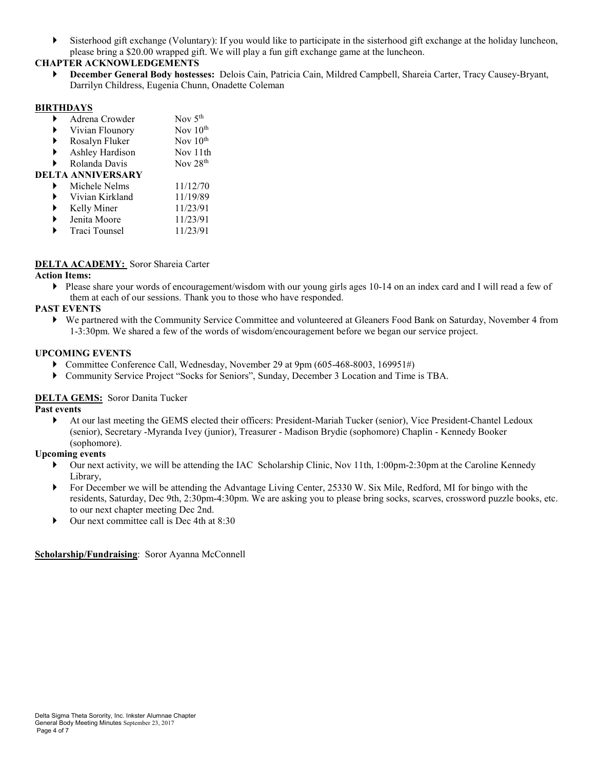Sisterhood gift exchange (Voluntary): If you would like to participate in the sisterhood gift exchange at the holiday luncheon, please bring a \$20.00 wrapped gift. We will play a fun gift exchange game at the luncheon.

# **CHAPTER ACKNOWLEDGEMENTS**

 **December General Body hostesses:** Delois Cain, Patricia Cain, Mildred Campbell, Shareia Carter, Tracy Causey-Bryant, Darrilyn Childress, Eugenia Chunn, Onadette Coleman

## **BIRTHDAYS**

|   | Adrena Crowder    | Nov $5th$            |
|---|-------------------|----------------------|
|   | Vivian Flounory   | Nov $10th$           |
|   | Rosalyn Fluker    | Nov 10 <sup>th</sup> |
| ▶ | Ashley Hardison   | Nov 11th             |
|   | Rolanda Davis     | Nov 28 <sup>th</sup> |
|   | DELTA ANNIVERSARY |                      |
|   | Michele Nelms     | 11/12/70             |
|   | Vivian Kirkland   | 11/19/89             |
|   | Kelly Miner       | 11/23/91             |
|   | Jenita Moore      | 11/23/91             |
|   | Traci Tounsel     | 11/23/91             |

## **DELTA ACADEMY:** Soror Shareia Carter

### **Action Items:**

 $\triangleright$  Please share your words of encouragement/wisdom with our young girls ages 10-14 on an index card and I will read a few of them at each of our sessions. Thank you to those who have responded.

## **PAST EVENTS**

 We partnered with the Community Service Committee and volunteered at Gleaners Food Bank on Saturday, November 4 from 1-3:30pm. We shared a few of the words of wisdom/encouragement before we began our service project.

#### **UPCOMING EVENTS**

- Committee Conference Call, Wednesday, November 29 at 9pm (605-468-8003, 169951#)
- Community Service Project "Socks for Seniors", Sunday, December 3 Location and Time is TBA.

### **DELTA GEMS:** Soror Danita Tucker

**Past events**

 At our last meeting the GEMS elected their officers: President-Mariah Tucker (senior), Vice President-Chantel Ledoux (senior), Secretary -Myranda Ivey (junior), Treasurer - Madison Brydie (sophomore) Chaplin - Kennedy Booker (sophomore).

# **Upcoming events**

- Our next activity, we will be attending the IAC Scholarship Clinic, Nov 11th, 1:00pm-2:30pm at the Caroline Kennedy Library,
- For December we will be attending the Advantage Living Center, 25330 W. Six Mile, Redford, MI for bingo with the residents, Saturday, Dec 9th, 2:30pm-4:30pm. We are asking you to please bring socks, scarves, crossword puzzle books, etc. to our next chapter meeting Dec 2nd.
- Our next committee call is Dec 4th at 8:30

### **Scholarship/Fundraising**: Soror Ayanna McConnell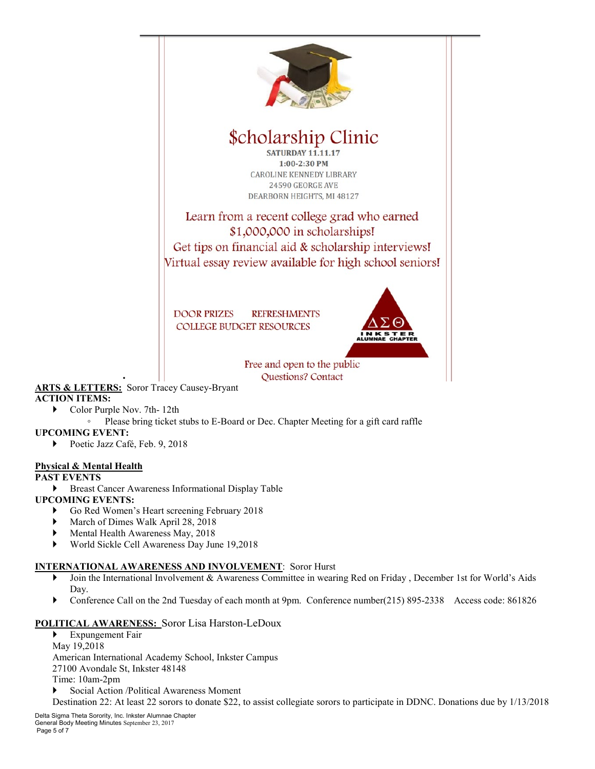

- **ACTION ITEMS:**
	- ▶ Color Purple Nov. 7th- 12th
		- Please bring ticket stubs to E-Board or Dec. Chapter Meeting for a gift card raffle

### **UPCOMING EVENT:**

Poetic Jazz Café, Feb. 9, 2018

### **Physical & Mental Health**

### **PAST EVENTS**

**Breast Cancer Awareness Informational Display Table** 

### **UPCOMING EVENTS:**

- Go Red Women's Heart screening February 2018
- March of Dimes Walk April 28, 2018
- Mental Health Awareness May, 2018
- World Sickle Cell Awareness Day June 19,2018

### **INTERNATIONAL AWARENESS AND INVOLVEMENT**: Soror Hurst

- Join the International Involvement & Awareness Committee in wearing Red on Friday , December 1st for World's Aids Day.
- Conference Call on the 2nd Tuesday of each month at 9pm. Conference number(215) 895-2338 Access code: 861826

### **POLITICAL AWARENESS:** Soror Lisa Harston-LeDoux

Expungement Fair

May 19,2018

American International Academy School, Inkster Campus

27100 Avondale St, Inkster 48148

Time: 10am-2pm

Social Action /Political Awareness Moment

Destination 22: At least 22 sorors to donate \$22, to assist collegiate sorors to participate in DDNC. Donations due by 1/13/2018

Delta Sigma Theta Sorority, Inc. Inkster Alumnae Chapter General Body Meeting Minutes September 23, 2017 Page 5 of 7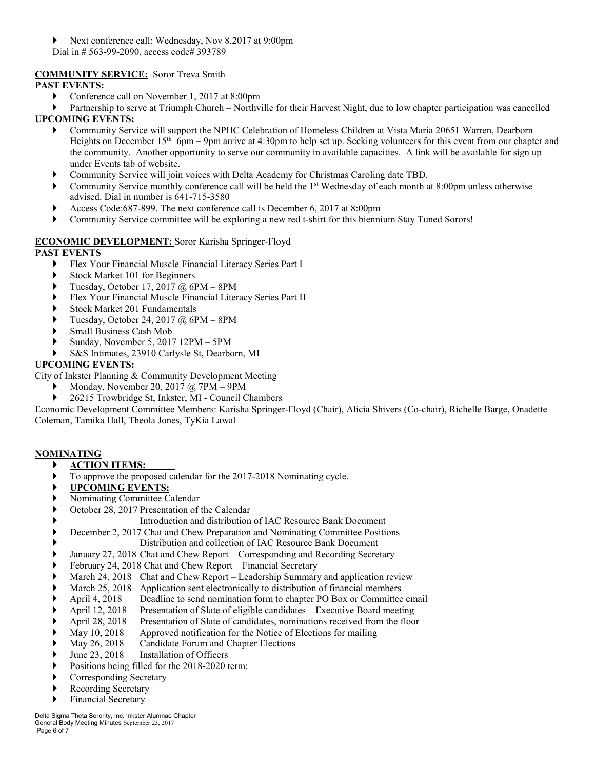- Next conference call: Wednesday, Nov 8,2017 at 9:00pm
- Dial in # 563-99-2090, access code# 393789

# **COMMUNITY SERVICE:** Soror Treva Smith

# **PAST EVENTS:**

- ▶ Conference call on November 1, 2017 at 8:00pm
- Partnership to serve at Triumph Church Northville for their Harvest Night, due to low chapter participation was cancelled **UPCOMING EVENTS:**
	- Community Service will support the NPHC Celebration of Homeless Children at Vista Maria 20651 Warren, Dearborn Heights on December  $15<sup>th</sup>$  6pm – 9pm arrive at 4:30pm to help set up. Seeking volunteers for this event from our chapter and the community. Another opportunity to serve our community in available capacities. A link will be available for sign up under Events tab of website.
	- Community Service will join voices with Delta Academy for Christmas Caroling date TBD.
	- Community Service monthly conference call will be held the  $1<sup>st</sup>$  Wednesday of each month at 8:00pm unless otherwise advised. Dial in number is 641-715-3580
	- Access Code:687-899. The next conference call is December 6, 2017 at 8:00pm
	- Community Service committee will be exploring a new red t-shirt for this biennium Stay Tuned Sorors!

# **ECONOMIC DEVELOPMENT:** Soror Karisha Springer-Floyd

# **PAST EVENTS**

- Flex Your Financial Muscle Financial Literacy Series Part I
- Stock Market 101 for Beginners
- $\blacktriangleright$  Tuesday, October 17, 2017 @ 6PM 8PM
- Flex Your Financial Muscle Financial Literacy Series Part II
- Stock Market 201 Fundamentals
- Tuesday, October 24, 2017 @ 6PM 8PM
- Small Business Cash Mob
- Sunday, November 5, 2017 12PM 5PM
- S&S Intimates, 23910 Carlysle St, Dearborn, MI

## **UPCOMING EVENTS:**

City of Inkster Planning & Community Development Meeting

- Monday, November 20, 2017 @ 7PM 9PM
- 26215 Trowbridge St, Inkster, MI Council Chambers

Economic Development Committee Members: Karisha Springer-Floyd (Chair), Alicia Shivers (Co-chair), Richelle Barge, Onadette Coleman, Tamika Hall, Theola Jones, TyKia Lawal

# **NOMINATING**

- **ACTION ITEMS:**
- To approve the proposed calendar for the 2017-2018 Nominating cycle.
- **UPCOMING EVENTS:**
- Nominating Committee Calendar
- October 28, 2017 Presentation of the Calendar
	- Introduction and distribution of IAC Resource Bank Document
- December 2, 2017 Chat and Chew Preparation and Nominating Committee Positions
	- Distribution and collection of IAC Resource Bank Document
- January 27, 2018 Chat and Chew Report Corresponding and Recording Secretary
- February 24, 2018 Chat and Chew Report Financial Secretary
- March 24, 2018 Chat and Chew Report Leadership Summary and application review
- March 25, 2018 Application sent electronically to distribution of financial members
- April 4, 2018 Deadline to send nomination form to chapter PO Box or Committee email
- April 12, 2018 Presentation of Slate of eligible candidates Executive Board meeting
- April 28, 2018 Presentation of Slate of candidates, nominations received from the floor
- May 10, 2018 Approved notification for the Notice of Elections for mailing
- May 26, 2018 Candidate Forum and Chapter Elections
- June 23, 2018 Installation of Officers
- Positions being filled for the 2018-2020 term:
- ▶ Corresponding Secretary
- Recording Secretary
- Financial Secretary